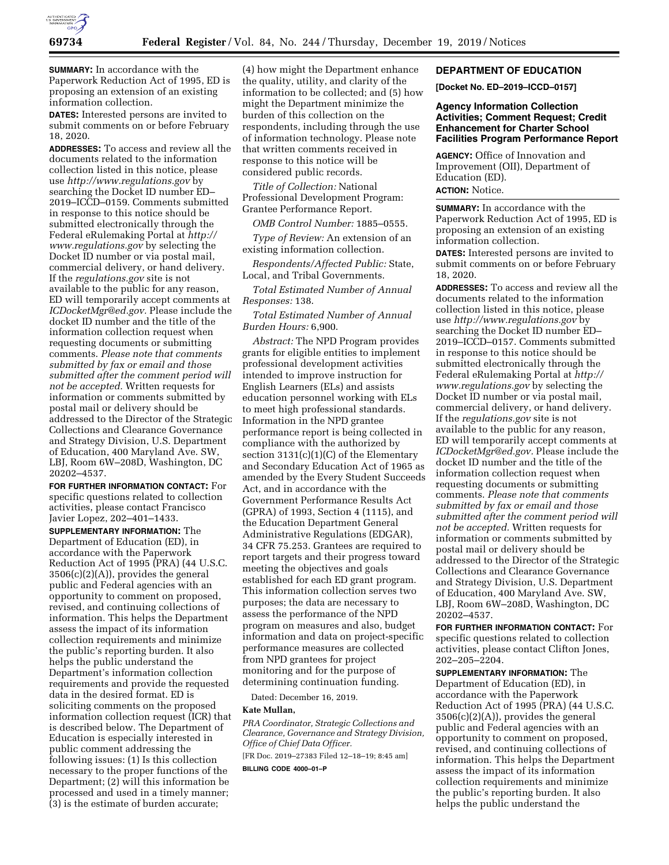

**SUMMARY:** In accordance with the Paperwork Reduction Act of 1995, ED is proposing an extension of an existing information collection.

**DATES:** Interested persons are invited to submit comments on or before February 18, 2020.

**ADDRESSES:** To access and review all the documents related to the information collection listed in this notice, please use *<http://www.regulations.gov>*by searching the Docket ID number ED– 2019–ICCD–0159. Comments submitted in response to this notice should be submitted electronically through the Federal eRulemaking Portal at *[http://](http://www.regulations.gov) [www.regulations.gov](http://www.regulations.gov)* by selecting the Docket ID number or via postal mail, commercial delivery, or hand delivery. If the *regulations.gov* site is not available to the public for any reason, ED will temporarily accept comments at *[ICDocketMgr@ed.gov.](mailto:ICDocketMgr@ed.gov)* Please include the docket ID number and the title of the information collection request when requesting documents or submitting comments. *Please note that comments submitted by fax or email and those submitted after the comment period will not be accepted.* Written requests for information or comments submitted by postal mail or delivery should be addressed to the Director of the Strategic Collections and Clearance Governance and Strategy Division, U.S. Department of Education, 400 Maryland Ave. SW, LBJ, Room 6W–208D, Washington, DC 20202–4537.

**FOR FURTHER INFORMATION CONTACT:** For specific questions related to collection activities, please contact Francisco Javier Lopez, 202–401–1433.

**SUPPLEMENTARY INFORMATION:** The Department of Education (ED), in accordance with the Paperwork Reduction Act of 1995 (PRA) (44 U.S.C.  $3506(c)(2)(A)$ , provides the general public and Federal agencies with an opportunity to comment on proposed, revised, and continuing collections of information. This helps the Department assess the impact of its information collection requirements and minimize the public's reporting burden. It also helps the public understand the Department's information collection requirements and provide the requested data in the desired format. ED is soliciting comments on the proposed information collection request (ICR) that is described below. The Department of Education is especially interested in public comment addressing the following issues: (1) Is this collection necessary to the proper functions of the Department; (2) will this information be processed and used in a timely manner; (3) is the estimate of burden accurate;

(4) how might the Department enhance the quality, utility, and clarity of the information to be collected; and (5) how might the Department minimize the burden of this collection on the respondents, including through the use of information technology. Please note that written comments received in response to this notice will be considered public records.

*Title of Collection:* National Professional Development Program: Grantee Performance Report.

*OMB Control Number:* 1885–0555.

*Type of Review:* An extension of an existing information collection.

*Respondents/Affected Public:* State, Local, and Tribal Governments.

*Total Estimated Number of Annual Responses:* 138.

*Total Estimated Number of Annual Burden Hours:* 6,900.

*Abstract:* The NPD Program provides grants for eligible entities to implement professional development activities intended to improve instruction for English Learners (ELs) and assists education personnel working with ELs to meet high professional standards. Information in the NPD grantee performance report is being collected in compliance with the authorized by section 3131(c)(1)(C) of the Elementary and Secondary Education Act of 1965 as amended by the Every Student Succeeds Act, and in accordance with the Government Performance Results Act (GPRA) of 1993, Section 4 (1115), and the Education Department General Administrative Regulations (EDGAR), 34 CFR 75.253. Grantees are required to report targets and their progress toward meeting the objectives and goals established for each ED grant program. This information collection serves two purposes; the data are necessary to assess the performance of the NPD program on measures and also, budget information and data on project-specific performance measures are collected from NPD grantees for project monitoring and for the purpose of determining continuation funding.

Dated: December 16, 2019.

#### **Kate Mullan,**

*PRA Coordinator, Strategic Collections and Clearance, Governance and Strategy Division, Office of Chief Data Officer.* 

[FR Doc. 2019–27383 Filed 12–18–19; 8:45 am]

**BILLING CODE 4000–01–P** 

## **DEPARTMENT OF EDUCATION**

**[Docket No. ED–2019–ICCD–0157]** 

# **Agency Information Collection Activities; Comment Request; Credit Enhancement for Charter School Facilities Program Performance Report**

**AGENCY:** Office of Innovation and Improvement (OII), Department of Education (ED). **ACTION:** Notice.

**SUMMARY:** In accordance with the Paperwork Reduction Act of 1995, ED is proposing an extension of an existing information collection.

**DATES:** Interested persons are invited to submit comments on or before February 18, 2020.

**ADDRESSES:** To access and review all the documents related to the information collection listed in this notice, please use *<http://www.regulations.gov>*by searching the Docket ID number ED– 2019–ICCD–0157. Comments submitted in response to this notice should be submitted electronically through the Federal eRulemaking Portal at *[http://](http://www.regulations.gov) [www.regulations.gov](http://www.regulations.gov)* by selecting the Docket ID number or via postal mail, commercial delivery, or hand delivery. If the *regulations.gov* site is not available to the public for any reason, ED will temporarily accept comments at *[ICDocketMgr@ed.gov.](mailto:ICDocketMgr@ed.gov)* Please include the docket ID number and the title of the information collection request when requesting documents or submitting comments. *Please note that comments submitted by fax or email and those submitted after the comment period will not be accepted.* Written requests for information or comments submitted by postal mail or delivery should be addressed to the Director of the Strategic Collections and Clearance Governance and Strategy Division, U.S. Department of Education, 400 Maryland Ave. SW, LBJ, Room 6W–208D, Washington, DC 20202–4537.

**FOR FURTHER INFORMATION CONTACT:** For specific questions related to collection activities, please contact Clifton Jones, 202–205–2204.

**SUPPLEMENTARY INFORMATION:** The Department of Education (ED), in accordance with the Paperwork Reduction Act of 1995 (PRA) (44 U.S.C. 3506(c)(2)(A)), provides the general public and Federal agencies with an opportunity to comment on proposed, revised, and continuing collections of information. This helps the Department assess the impact of its information collection requirements and minimize the public's reporting burden. It also helps the public understand the